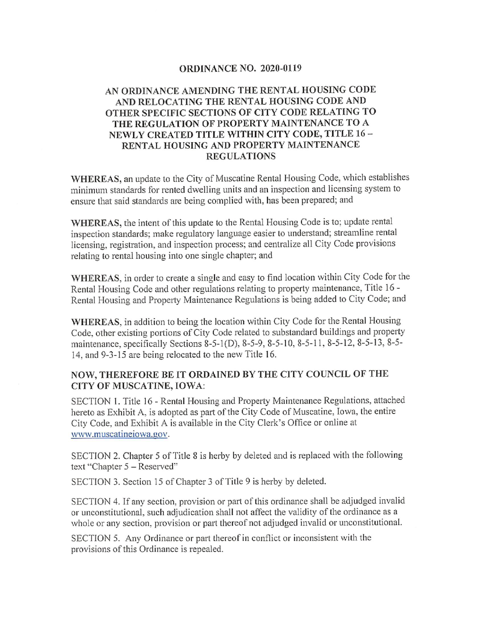### ORDINANCE NO. 2020-0119

## AN ORDINANCE AMENDING THE RENTAL HOUSING CODE AND RELOCATING THE RENTAL HOUSING CODE AND OTHER SPECIFIC SECTIONS OF CITY CODE RELATING TO THE REGULATION OF PROPERTY MAINTENANCE TO A NEWLY CREATED TITLE WITHIN CITY CODE, TITLE 16 - RENTAL HOUSING AND PROPERTY MAINTENANCE REGULATIONS

WHEREAS, an update to the City of Muscatine Rental Housing Code, which establishes minimum standards for rented dwelling units and an inspection and licensing system to ensure that said standards are being complied with, has been prepared; and

WHEREAS, the intent of this update to the Rental Housing Code is to; update rental inspection standards; make regulatory language easier to understand; streamline rental licensing, registration, and inspection process; and centralize all City Code provisions relating to rental housing into one single chapter; and

WHEREAS, in order to create a single and easy to find location within City Code for the Rental Housing Code and other regulations relating to property maintenance. Title 16 - Rental Housing and Property Maintenance Regulations is being added to City Code; and

WHEREAS, in addition to being the location within City Code for the Rental Housing Code, other existing portions of City Code related to substandard buildings and property maintenance, specifically Sections 8-5-l(D), 8-5-9, 8-5-10, 8-5-11, 8-5-12, 8-5-13, 8-5- 14, and 9-3-15 are being relocated to the new Title 16.

## NOW, THEREFORE BE IT ORDAINED BY THE CITY COUNCIL OF THE CITY OF MUSCATINE, IOWA:

SECTION 1. Title 16 - Rental Housing and Property Maintenance Regulations, attached hereto as Exhibit A, is adopted as part of the City Code of Muscatine, Iowa, the entire City Code, and Exhibit A is available in the City Clerk's Office or online at www.muscatineiowa.gov.

SECTION 2. Chapter 5 of Title 8 is herby by deleted and is replaced with the following text "Chapter 5 - Reserved"

SECTION 3. Section 15 of Chapter 3 of Title 9 is herby by deleted.

SECTION 4. If any section, provision or part of this ordinance shall be adjudged invalid or unconstitutional, such adjudication shall not affect the validity of the ordinance as a whole or any section, provision or part thereof not adjudged invalid or unconstitutional.

SECTION 5. Any Ordinance or part thereof in conflict or inconsistent with the provisions of this Ordinance is repealed.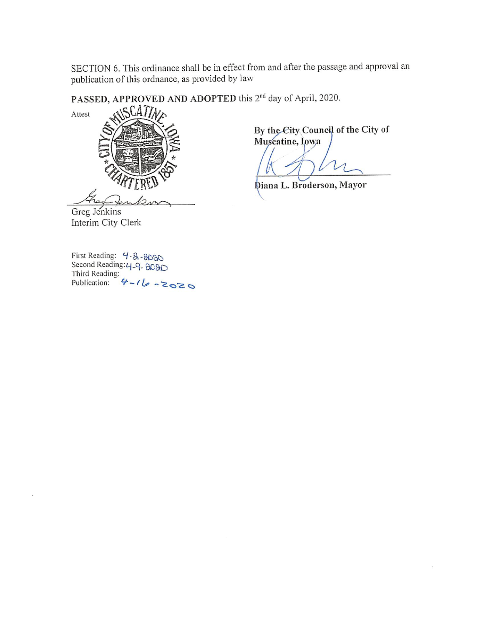SECTION 6. This ordinance shall be in effect from and after the passage and approval an publication of this ordnance, as provided by law

PASSED, APPROVED AND ADOPTED this 2<sup>nd</sup> day of April, 2020.



By the City Council of the City of Muscatine, Iowa

Diana L. Broderson, Mayor

Greg Jenkins Interim City Clerk

First Reading:  $4.8.9080$ <br>Second Reading:  $4.9.8090$ <br>Third Reading:<br>Publication:  $4 - 16 - 2020$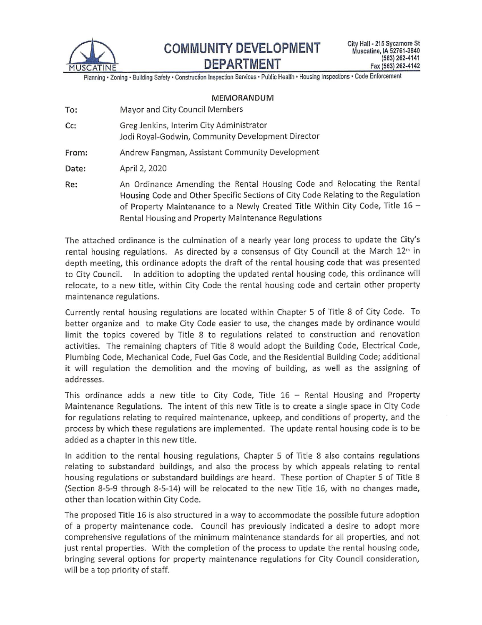

Planning · Zoning · Building Safety · Construction Inspection Services · Public Health · Housing Inspections · Code Enforcement

#### MEMORANDUM

- To: Mayor and City Council Members
- Cc: Greg Jenkins, Interim City Administrator Jodi Royal-Godwin, Community Development Director
- From: Andrew Fangman, Assistant Community Development

April 2, 2020 Date:

An Ordinance Amending the Rental Housing Code and Relocating the Rental Re: Housing Code and Other Specific Sections of City Code Relating to the Regulation of Property Maintenance to a Newly Created Title Within City Code, Title 16 -Rental Housing and Property Maintenance Regulations

The attached ordinance is the culmination of a nearly year long process to update the City's rental housing regulations. As directed by a consensus of City Council at the March 12<sup>th</sup> in depth meeting, this ordinance adopts the draft of the rental housing code that was presented to City Council. In addition to adopting the updated rental housing code, this ordinance will relocate, to a new title, within City Code the rental housing code and certain other property maintenance regulations.

Currently rental housing regulations are located within Chapter 5 of Title 8 of City Code. To better organize and to make City Code easier to use, the changes made by ordinance would limit the topics covered by Title 8 to regulations related to construction and renovation activities. The remaining chapters of Title 8 would adopt the Building Code, Electrical Code, Plumbing Code, Mechanical Code, Fuel Gas Code, and the Residential Building Code; additional it will regulation the demolition and the moving of building, as well as the assigning of addresses.

This ordinance adds a new title to City Code, Title  $16 -$  Rental Housing and Property Maintenance Regulations. The intent of this new Title is to create a single space in City Code for regulations relating to required maintenance, upkeep, and conditions of property, and the process by which these regulations are implemented. The update rental housing code is to be added as a chapter in this new title.

In addition to the rental housing regulations, Chapter 5 of Title 8 also contains regulations relating to substandard buildings, and also the process by which appeals relating to rental housing regulations or substandard buildings are heard. These portion of Chapter 5 of Title 8 (Section 8-5-9 through 8-5-14) will be relocated to the new Title 16, with no changes made, other than location within City Code.

The proposed Title 16 is also structured in a way to accommodate the possible future adoption of a property maintenance code. Council has previously indicated a desire to adopt more comprehensive regulations of the minimum maintenance standards for all properties, and not just rental properties. With the completion of the process to update the rental housing code, bringing several options for property maintenance regulations for City Council consideration, will be a top priority of staff.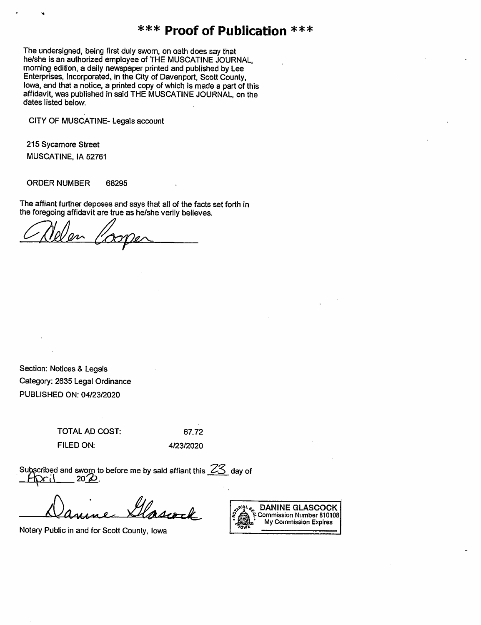# \*\*\* Proof of Publication \*\*\*

The undersigned, being first duly sworn, on oath does say that he/she is an authorized employee of THE MUSCATINE JOURNAL, morning edition, a daily newspaper printed and published by Lee Enterprises, Incorporated, in the City of Davenport, Scott County, lowa, and that a notice, a printed copy of which is made a part of this affidavit, was published in said THE MUSCATINE JOURNAL, on the dates listed below.

CITY OF MUSCATINE- Legals account

215 Sycamore Street MUSCATINE, IA 52761

**ORDER NUMBER** 68295

The affiant further deposes and says that all of the facts set forth in the foregoing affidavit are true as he/she verily believes.

Non P

Section: Notices & Legals Category: 2635 Legal Ordinance PUBLISHED ON: 04/23/2020

> **TOTAL AD COST:** FILED ON:

67.72 4/23/2020

Subscribed and sworn to before me by said affiant this  $23$  day of  $20Z$ 

Notary Public in and for Scott County, Iowa

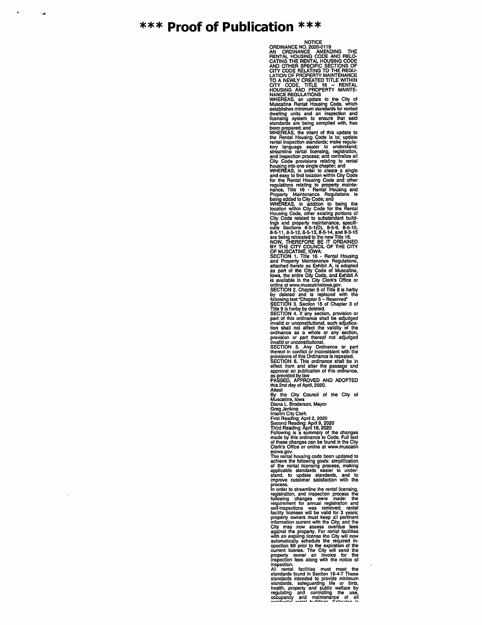## \*\*\* Proof of Publication \*\*\*

۰.

NOTICE<br>
ORDINANCE NO. 2020-0119<br>
AN ORDINANCE AMENDING THE<br>
CATING THE RENTAL HOUSING CODE<br>
CATING THE RENTAL HOUSING CODE<br>
AND OTHER SPECIFIC SECTIONS OF<br>
CITY CODE RELATING TO THE REGULATION OF PROPERTY MAINTENANCE<br>
TO A

NANCE REGULATIONS<br>
WHEREAS, an update to the City of<br>
MMCE REGULATIONS<br>
containe Rental Housing Code, which<br>
destablishes minimum standards for rented<br>
develing units and an inspection and<br>
flecting in the standards for re

Cient is cliented to online at www.intistant<br>The rental housing codo boom updated to<br>the chieve the following goals: simplification<br>of the rental licensing process, making<br>applicable standards easier to under-<br>stand, to up

stand, we update satisfaction with the process.<br>Improve customer satisfaction with the<br>process. the content of a normal registration, and inspection process the<br>requirement for annual registration and<br>set if the equirement